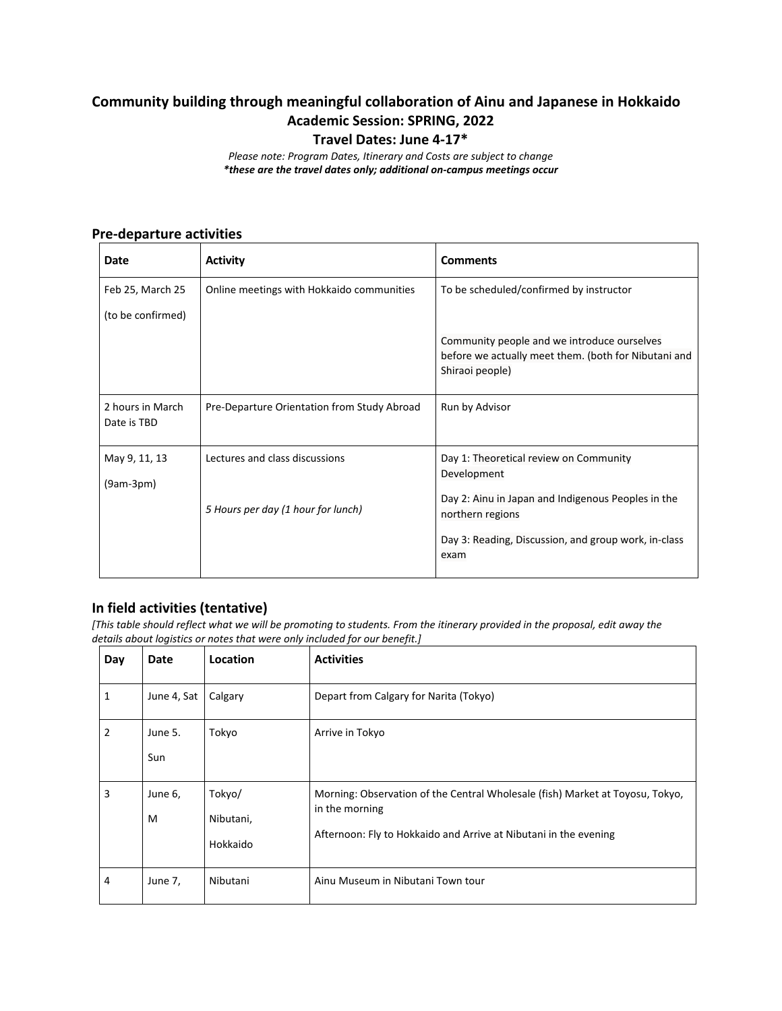## **Community building through meaningful collaboration of Ainu and Japanese in Hokkaido Academic Session: SPRING, 2022**

**Travel Dates: June 4-17\***

*Please note: Program Dates, Itinerary and Costs are subject to change \*these are the travel dates only; additional on-campus meetings occur*

## **Pre-departure activities**

| Date                            | <b>Activity</b>                             | <b>Comments</b>                                                                                                        |  |
|---------------------------------|---------------------------------------------|------------------------------------------------------------------------------------------------------------------------|--|
| Feb 25, March 25                | Online meetings with Hokkaido communities   | To be scheduled/confirmed by instructor                                                                                |  |
| (to be confirmed)               |                                             |                                                                                                                        |  |
|                                 |                                             | Community people and we introduce ourselves<br>before we actually meet them. (both for Nibutani and<br>Shiraoi people) |  |
| 2 hours in March<br>Date is TBD | Pre-Departure Orientation from Study Abroad | Run by Advisor                                                                                                         |  |
| May 9, 11, 13                   | Lectures and class discussions              | Day 1: Theoretical review on Community                                                                                 |  |
| $(9am-3pm)$                     |                                             | Development                                                                                                            |  |
|                                 | 5 Hours per day (1 hour for lunch)          | Day 2: Ainu in Japan and Indigenous Peoples in the<br>northern regions                                                 |  |
|                                 |                                             | Day 3: Reading, Discussion, and group work, in-class<br>exam                                                           |  |

## **In field activities (tentative)**

*[This table should reflect what we will be promoting to students. From the itinerary provided in the proposal, edit away the details about logistics or notes that were only included for our benefit.]*

| Day            | Date           | Location                        | <b>Activities</b>                                                                                                                                                   |
|----------------|----------------|---------------------------------|---------------------------------------------------------------------------------------------------------------------------------------------------------------------|
| 1              | June 4, Sat    | Calgary                         | Depart from Calgary for Narita (Tokyo)                                                                                                                              |
| $\overline{2}$ | June 5.<br>Sun | Tokyo                           | Arrive in Tokyo                                                                                                                                                     |
| 3              | June 6,<br>M   | Tokyo/<br>Nibutani,<br>Hokkaido | Morning: Observation of the Central Wholesale (fish) Market at Toyosu, Tokyo,<br>in the morning<br>Afternoon: Fly to Hokkaido and Arrive at Nibutani in the evening |
| $\overline{4}$ | June 7,        | Nibutani                        | Ainu Museum in Nibutani Town tour                                                                                                                                   |